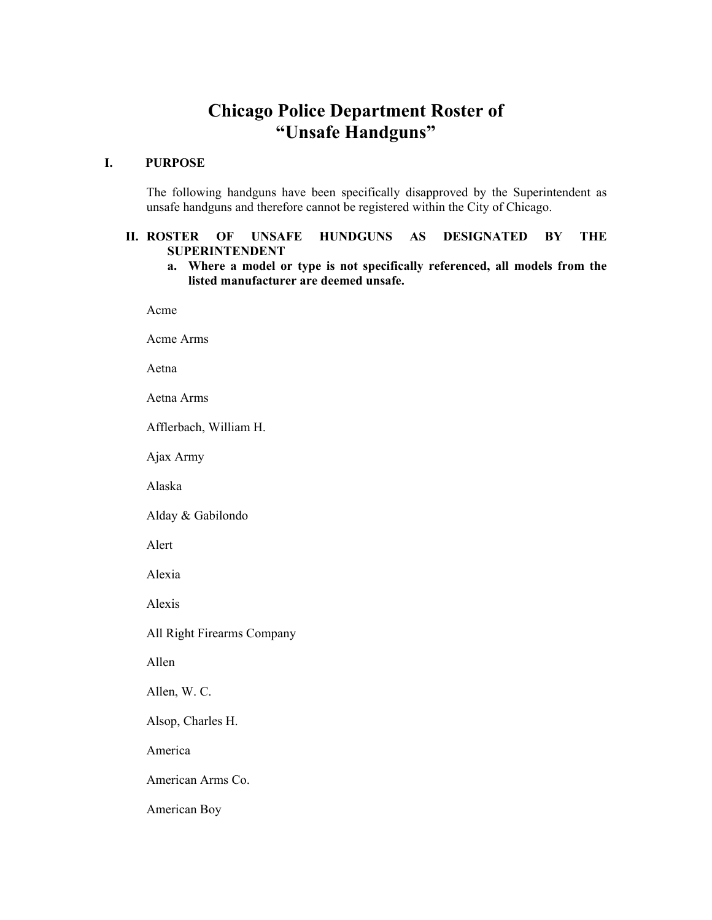## **Chicago Police Department Roster of "Unsafe Handguns"**

## **I. PURPOSE**

 The following handguns have been specifically disapproved by the Superintendent as unsafe handguns and therefore cannot be registered within the City of Chicago.

## **II. ROSTER OF UNSAFE HUNDGUNS AS DESIGNATED BY THE SUPERINTENDENT**

**a. Where a model or type is not specifically referenced, all models from the listed manufacturer are deemed unsafe.** 

Acme

Acme Arms

Aetna

Aetna Arms

Afflerbach, William H.

Ajax Army

Alaska

Alday & Gabilondo

Alert

Alexia

Alexis

All Right Firearms Company

Allen

Allen, W. C.

Alsop, Charles H.

America

American Arms Co.

American Boy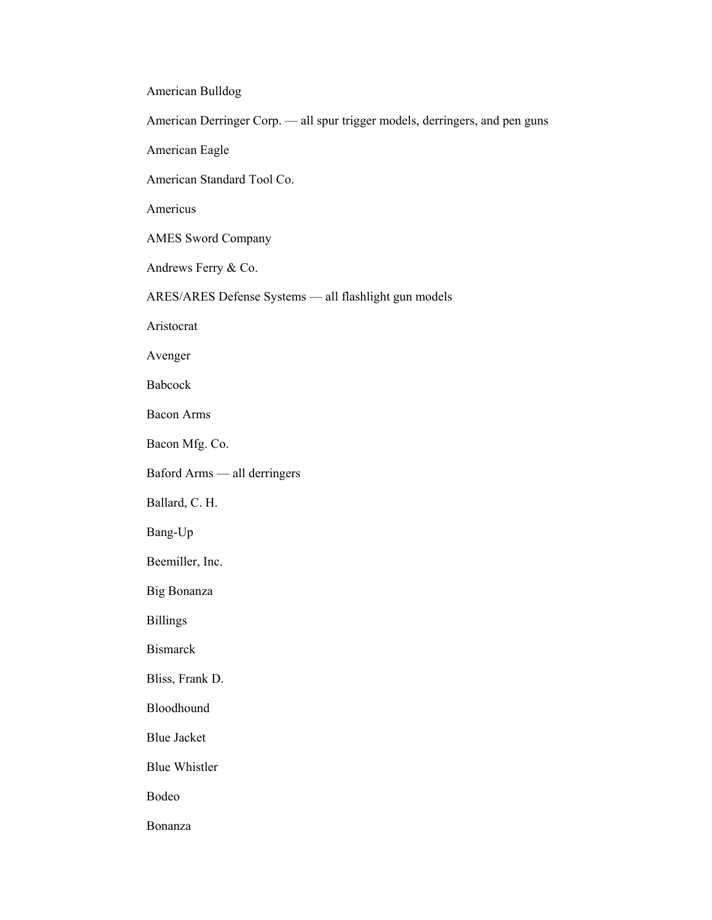American Bulldog

American Derringer Corp. — all spur trigger models, derringers, and pen guns

American Eagle

American Standard Tool Co.

Americus

AMES Sword Company

Andrews Ferry & Co.

ARES/ARES Defense Systems — all flashlight gun models

Aristocrat

Avenger

Babcock

Bacon Arms

Bacon Mfg. Co.

Baford Arms — all derringers

Ballard, C. H.

Bang-Up

Beemiller, Inc.

Big Bonanza

Billings

Bismarck

Bliss, Frank D.

Bloodhound

Blue Jacket

Blue Whistler

Bodeo

Bonanza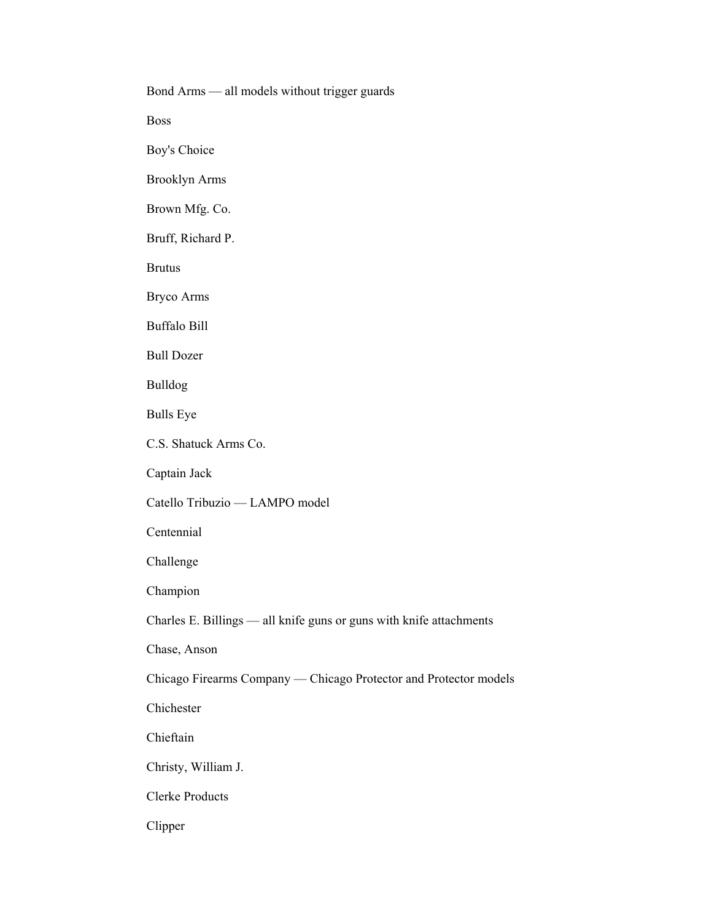Bond Arms — all models without trigger guards Boss Boy's Choice Brooklyn Arms Brown Mfg. Co. Bruff, Richard P. Brutus Bryco Arms Buffalo Bill Bull Dozer Bulldog Bulls Eye C.S. Shatuck Arms Co. Captain Jack Catello Tribuzio — LAMPO model Centennial Challenge Champion Charles E. Billings — all knife guns or guns with knife attachments Chase, Anson Chicago Firearms Company — Chicago Protector and Protector models Chichester Chieftain Christy, William J. Clerke Products Clipper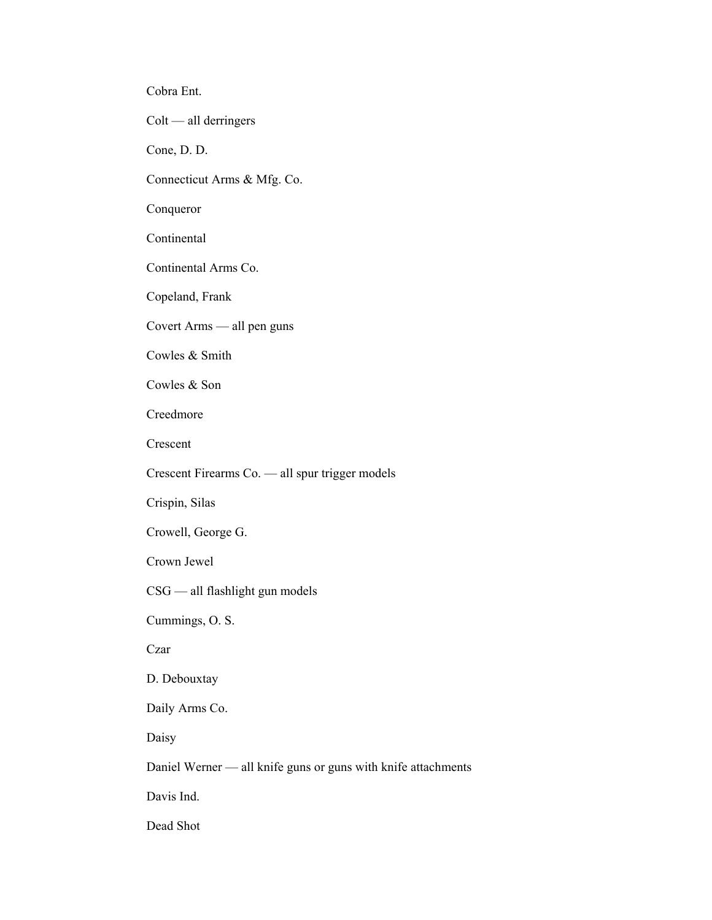Cobra Ent.

Colt — all derringers

Cone, D. D.

Connecticut Arms & Mfg. Co.

Conqueror

Continental

Continental Arms Co.

Copeland, Frank

Covert Arms — all pen guns

Cowles & Smith

Cowles & Son

Creedmore

Crescent

Crescent Firearms Co. — all spur trigger models

Crispin, Silas

Crowell, George G.

Crown Jewel

CSG — all flashlight gun models

Cummings, O. S.

Czar

D. Debouxtay

Daily Arms Co.

Daisy

Daniel Werner — all knife guns or guns with knife attachments

Davis Ind.

Dead Shot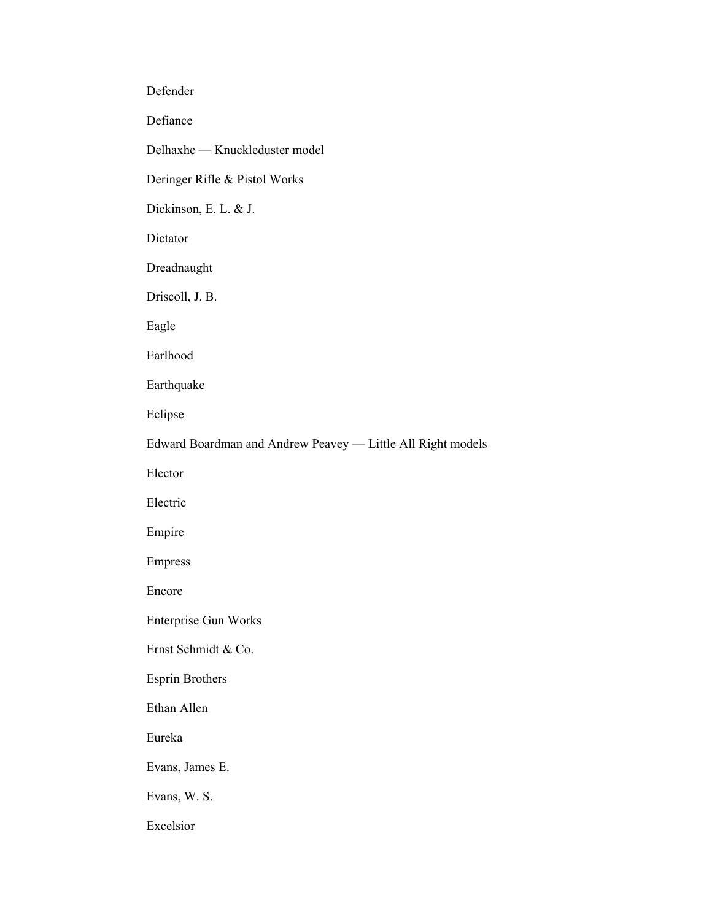Defender

Defiance

Delhaxhe — Knuckleduster model

Deringer Rifle & Pistol Works

Dickinson, E. L. & J.

Dictator

Dreadnaught

Driscoll, J. B.

Eagle

Earlhood

Earthquake

Eclipse

Edward Boardman and Andrew Peavey — Little All Right models

Elector

Electric

Empire

Empress

Encore

Enterprise Gun Works

Ernst Schmidt & Co.

Esprin Brothers

Ethan Allen

Eureka

Evans, James E.

Evans, W. S.

Excelsior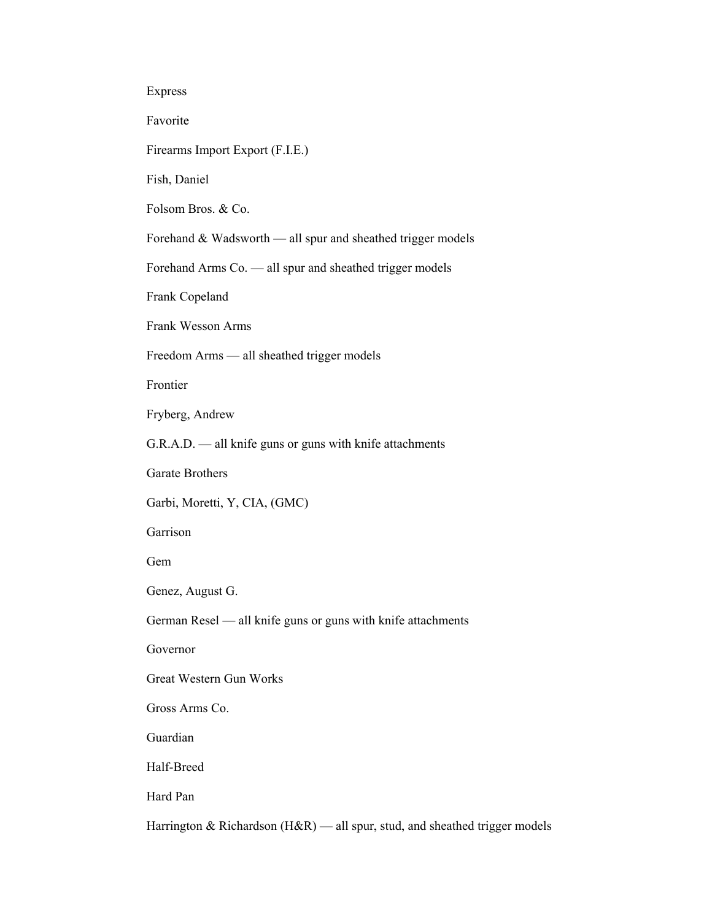| ır<br>H |
|---------|
|---------|

Favorite

Firearms Import Export (F.I.E.)

Fish, Daniel

Folsom Bros. & Co.

Forehand & Wadsworth — all spur and sheathed trigger models

Forehand Arms Co. — all spur and sheathed trigger models

Frank Copeland

Frank Wesson Arms

Freedom Arms — all sheathed trigger models

Frontier

Fryberg, Andrew

G.R.A.D. — all knife guns or guns with knife attachments

Garate Brothers

Garbi, Moretti, Y, CIA, (GMC)

Garrison

Gem

Genez, August G.

German Resel — all knife guns or guns with knife attachments

Governor

Great Western Gun Works

Gross Arms Co.

Guardian

Half-Breed

Hard Pan

Harrington & Richardson (H&R) — all spur, stud, and sheathed trigger models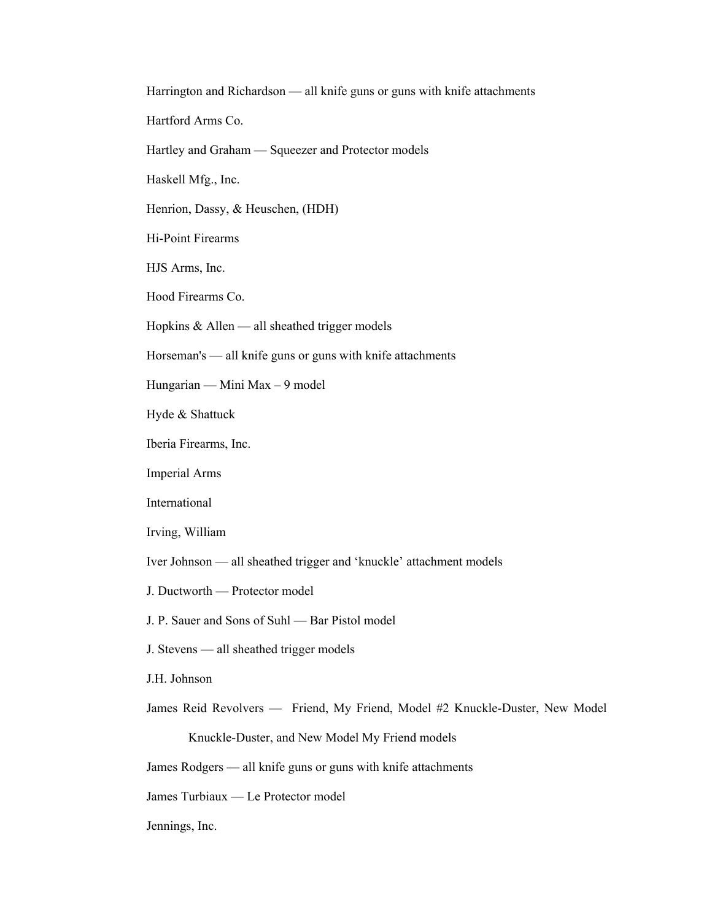Harrington and Richardson — all knife guns or guns with knife attachments

Hartford Arms Co.

Hartley and Graham — Squeezer and Protector models

Haskell Mfg., Inc.

Henrion, Dassy, & Heuschen, (HDH)

Hi-Point Firearms

HJS Arms, Inc.

Hood Firearms Co.

Hopkins  $&$  Allen — all sheathed trigger models

Horseman's — all knife guns or guns with knife attachments

Hungarian — Mini Max – 9 model

Hyde & Shattuck

Iberia Firearms, Inc.

Imperial Arms

International

Irving, William

Iver Johnson — all sheathed trigger and 'knuckle' attachment models

J. Ductworth — Protector model

J. P. Sauer and Sons of Suhl — Bar Pistol model

J. Stevens — all sheathed trigger models

J.H. Johnson

James Reid Revolvers — Friend, My Friend, Model #2 Knuckle-Duster, New Model

Knuckle-Duster, and New Model My Friend models

James Rodgers — all knife guns or guns with knife attachments

James Turbiaux — Le Protector model

Jennings, Inc.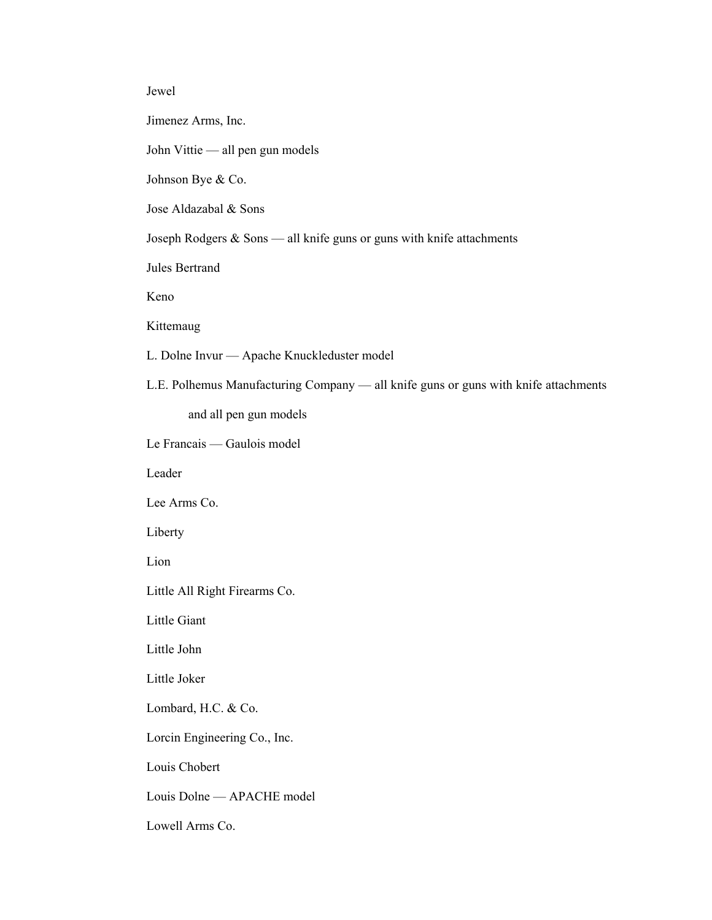## Jewel

Jimenez Arms, Inc.

John Vittie — all pen gun models

Johnson Bye & Co.

Jose Aldazabal & Sons

Joseph Rodgers & Sons — all knife guns or guns with knife attachments

Jules Bertrand

Keno

Kittemaug

L. Dolne Invur — Apache Knuckleduster model

L.E. Polhemus Manufacturing Company — all knife guns or guns with knife attachments

and all pen gun models

Le Francais — Gaulois model

Leader

Lee Arms Co.

Liberty

Lion

Little All Right Firearms Co.

Little Giant

Little John

Little Joker

Lombard, H.C. & Co.

Lorcin Engineering Co., Inc.

Louis Chobert

Louis Dolne — APACHE model

Lowell Arms Co.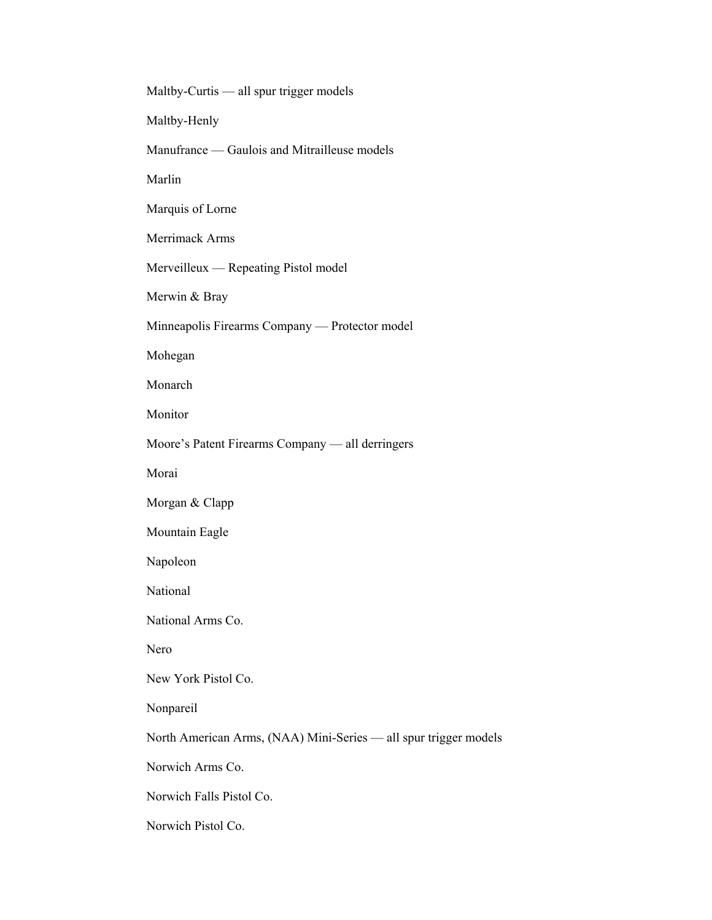Maltby-Curtis — all spur trigger models Maltby-Henly Manufrance — Gaulois and Mitrailleuse models Marlin Marquis of Lorne Merrimack Arms Merveilleux — Repeating Pistol model Merwin & Bray Minneapolis Firearms Company — Protector model Mohegan Monarch Monitor Moore's Patent Firearms Company — all derringers Morai Morgan & Clapp Mountain Eagle Napoleon National National Arms Co. Nero New York Pistol Co. Nonpareil North American Arms, (NAA) Mini-Series — all spur trigger models Norwich Arms Co. Norwich Falls Pistol Co. Norwich Pistol Co.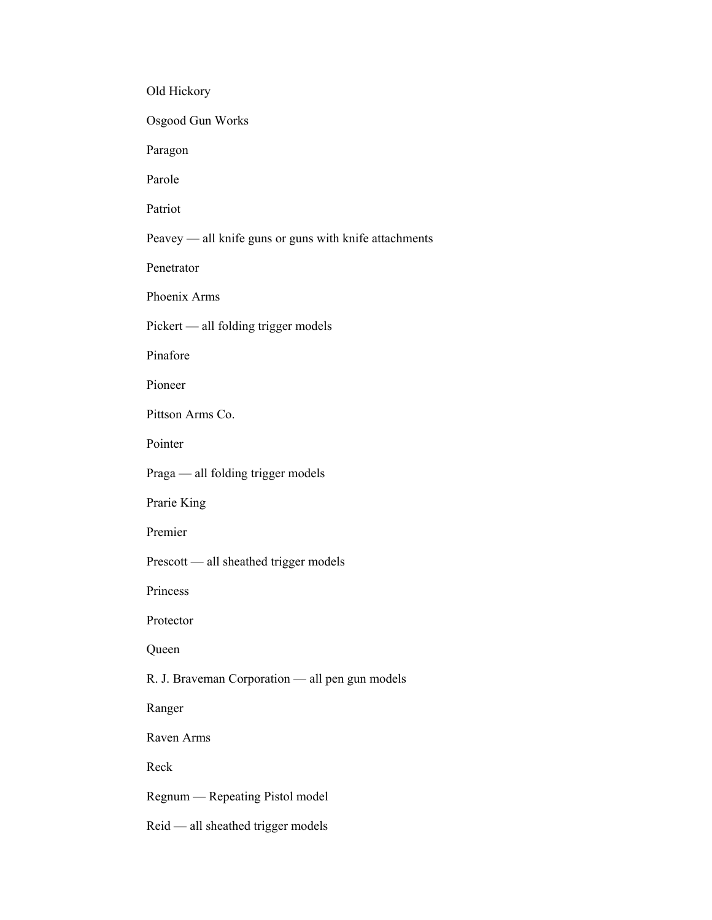Old Hickory Osgood Gun Works Paragon Parole Patriot Peavey — all knife guns or guns with knife attachments Penetrator Phoenix Arms Pickert — all folding trigger models Pinafore Pioneer Pittson Arms Co. Pointer Praga — all folding trigger models Prarie King Premier Prescott — all sheathed trigger models Princess Protector Queen R. J. Braveman Corporation — all pen gun models Ranger Raven Arms Reck Regnum — Repeating Pistol model Reid — all sheathed trigger models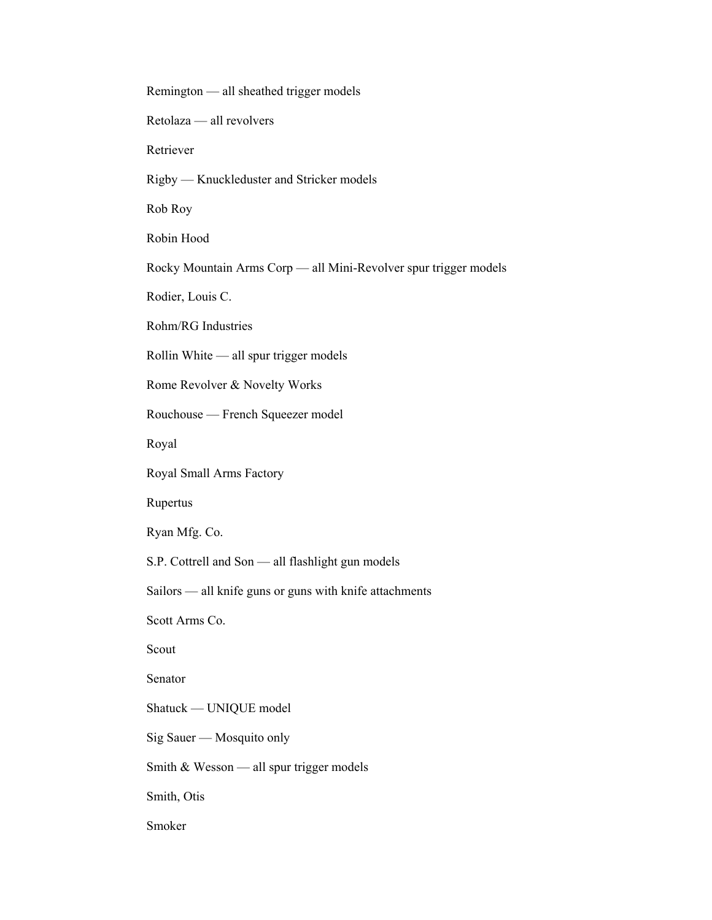Remington — all sheathed trigger models Retolaza — all revolvers Retriever Rigby — Knuckleduster and Stricker models Rob Roy Robin Hood Rocky Mountain Arms Corp — all Mini-Revolver spur trigger models Rodier, Louis C. Rohm/RG Industries Rollin White — all spur trigger models Rome Revolver & Novelty Works Rouchouse — French Squeezer model Royal Royal Small Arms Factory Rupertus Ryan Mfg. Co. S.P. Cottrell and Son — all flashlight gun models Sailors — all knife guns or guns with knife attachments Scott Arms Co. Scout Senator Shatuck — UNIQUE model Sig Sauer — Mosquito only Smith & Wesson — all spur trigger models Smith, Otis Smoker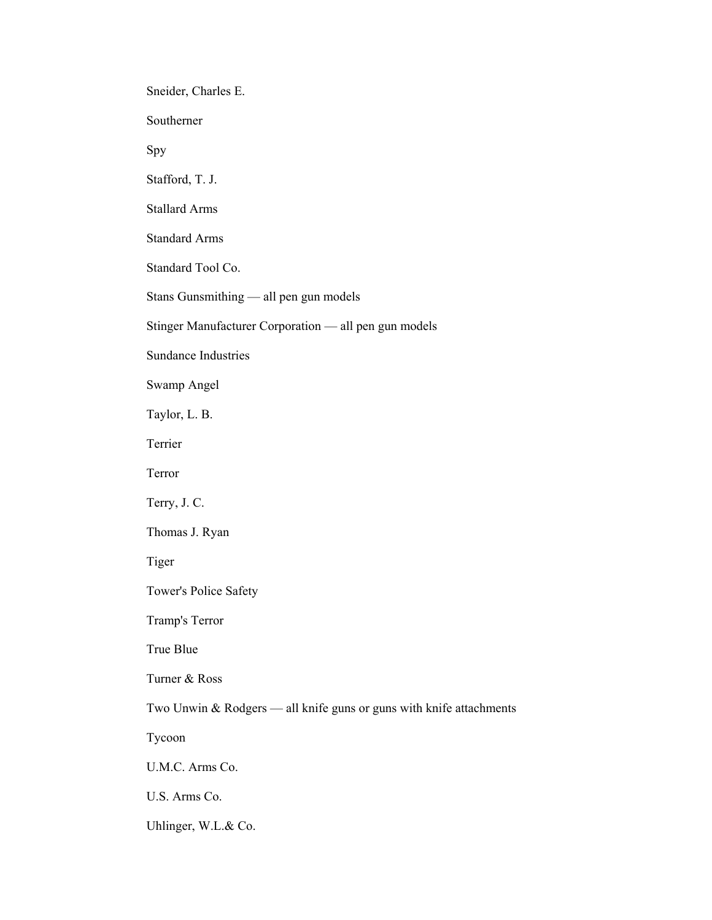Sneider, Charles E.

Southerner

Spy

Stafford, T. J.

Stallard Arms

Standard Arms

Standard Tool Co.

Stans Gunsmithing — all pen gun models

Stinger Manufacturer Corporation — all pen gun models

Sundance Industries

Swamp Angel

Taylor, L. B.

Terrier

Terror

Terry, J. C.

Thomas J. Ryan

Tiger

Tower's Police Safety

Tramp's Terror

True Blue

Turner & Ross

Two Unwin & Rodgers — all knife guns or guns with knife attachments

Tycoon

U.M.C. Arms Co.

U.S. Arms Co.

Uhlinger, W.L.& Co.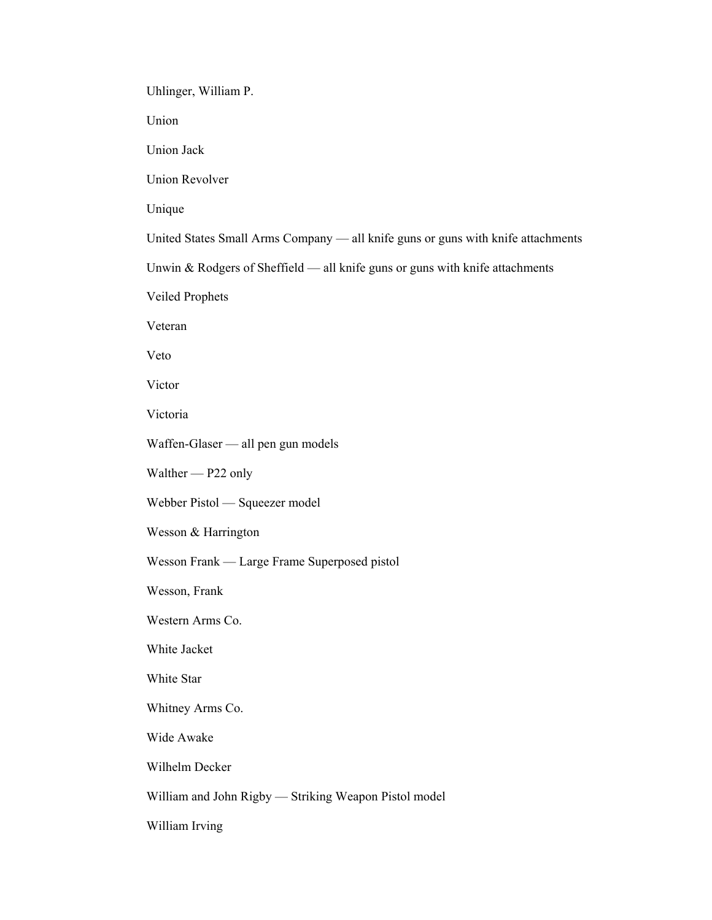Uhlinger, William P.

Union

Union Jack

Union Revolver

Unique

United States Small Arms Company — all knife guns or guns with knife attachments

Unwin & Rodgers of Sheffield — all knife guns or guns with knife attachments

Veiled Prophets

Veteran

Veto

Victor

Victoria

Waffen-Glaser — all pen gun models

Walther — P22 only

Webber Pistol — Squeezer model

Wesson & Harrington

Wesson Frank — Large Frame Superposed pistol

Wesson, Frank

Western Arms Co.

White Jacket

White Star

Whitney Arms Co.

Wide Awake

Wilhelm Decker

William and John Rigby — Striking Weapon Pistol model

William Irving